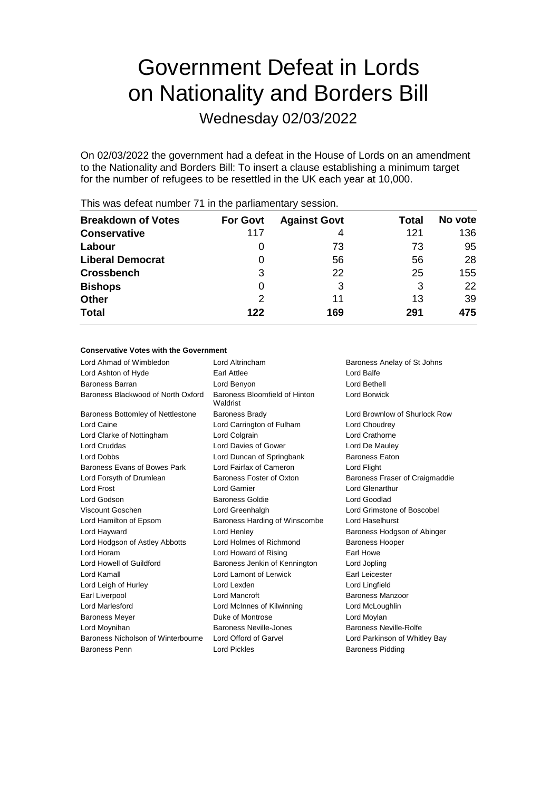# Government Defeat in Lords on Nationality and Borders Bill

Wednesday 02/03/2022

On 02/03/2022 the government had a defeat in the House of Lords on an amendment to the Nationality and Borders Bill: To insert a clause establishing a minimum target for the number of refugees to be resettled in the UK each year at 10,000.

| <b>Breakdown of Votes</b> | <b>For Govt</b> | <b>Against Govt</b> | Total | No vote |
|---------------------------|-----------------|---------------------|-------|---------|
| <b>Conservative</b>       | 117             | 4                   | 121   | 136     |
| Labour                    | $\Omega$        | 73                  | 73    | 95      |
| <b>Liberal Democrat</b>   |                 | 56                  | 56    | 28      |
| <b>Crossbench</b>         | 3               | 22                  | 25    | 155     |
| <b>Bishops</b>            | 0               | 3                   | 3     | 22      |
| <b>Other</b>              | 2               | 11                  | 13    | 39      |
| <b>Total</b>              | 122             | 169                 | 291   | 475     |
|                           |                 |                     |       |         |

This was defeat number 71 in the parliamentary session.

### **Conservative Votes with the Government**

| Lord Ahmad of Wimbledon            | Lord Altrincham                           | Baroness Anelay of St Johns    |
|------------------------------------|-------------------------------------------|--------------------------------|
| Lord Ashton of Hyde                | Earl Attlee                               | Lord Balfe                     |
| <b>Baroness Barran</b>             | Lord Benyon                               | Lord Bethell                   |
| Baroness Blackwood of North Oxford | Baroness Bloomfield of Hinton<br>Waldrist | <b>Lord Borwick</b>            |
| Baroness Bottomley of Nettlestone  | <b>Baroness Brady</b>                     | Lord Brownlow of Shurlock Row  |
| Lord Caine                         | Lord Carrington of Fulham                 | Lord Choudrey                  |
| Lord Clarke of Nottingham          | Lord Colgrain                             | Lord Crathorne                 |
| Lord Cruddas                       | Lord Davies of Gower                      | Lord De Mauley                 |
| Lord Dobbs                         | Lord Duncan of Springbank                 | <b>Baroness Eaton</b>          |
| Baroness Evans of Bowes Park       | Lord Fairfax of Cameron                   | Lord Flight                    |
| Lord Forsyth of Drumlean           | Baroness Foster of Oxton                  | Baroness Fraser of Craigmaddie |
| Lord Frost                         | Lord Garnier                              | Lord Glenarthur                |
| Lord Godson                        | Baroness Goldie                           | Lord Goodlad                   |
| Viscount Goschen                   | Lord Greenhalgh                           | Lord Grimstone of Boscobel     |
| Lord Hamilton of Epsom             | Baroness Harding of Winscombe             | Lord Haselhurst                |
| Lord Hayward                       | Lord Henley                               | Baroness Hodgson of Abinger    |
| Lord Hodgson of Astley Abbotts     | Lord Holmes of Richmond                   | <b>Baroness Hooper</b>         |
| Lord Horam                         | Lord Howard of Rising                     | Earl Howe                      |
| Lord Howell of Guildford           | Baroness Jenkin of Kennington             | Lord Jopling                   |
| Lord Kamall                        | Lord Lamont of Lerwick                    | Earl Leicester                 |
| Lord Leigh of Hurley               | Lord Lexden                               | Lord Lingfield                 |
| Earl Liverpool                     | Lord Mancroft                             | Baroness Manzoor               |
| <b>Lord Marlesford</b>             | Lord McInnes of Kilwinning                | Lord McLoughlin                |
| <b>Baroness Meyer</b>              | Duke of Montrose                          | Lord Moylan                    |
| Lord Moynihan                      | Baroness Neville-Jones                    | Baroness Neville-Rolfe         |
| Baroness Nicholson of Winterbourne | Lord Offord of Garvel                     | Lord Parkinson of Whitley Bay  |
| <b>Baroness Penn</b>               | <b>Lord Pickles</b>                       | <b>Baroness Pidding</b>        |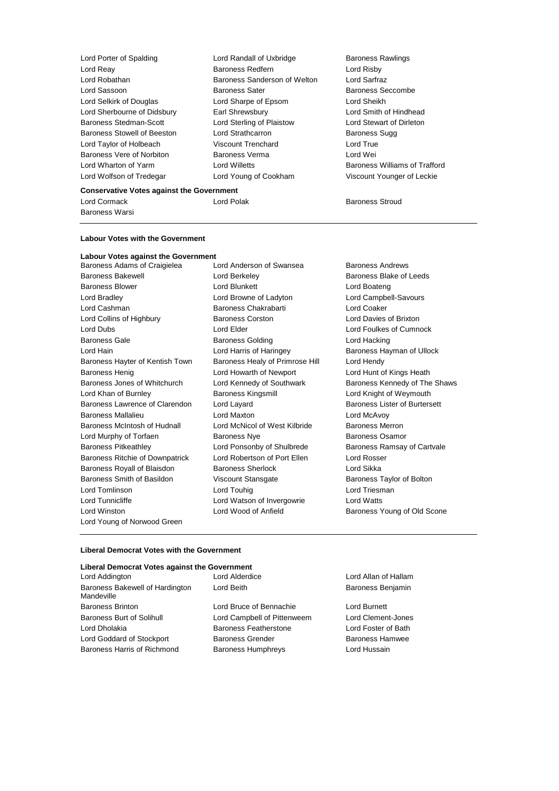Lord Porter of Spalding **Lord Randall of Uxbridge** Baroness Rawlings Lord Taylor of Holbeach Viscount Trenchard Lord Wolfson of Tredegar Lord Young of Cookham Viscount Younger of Leckie

Lord Reay **Baroness Redfern** Exercise and Risby<br>
Baroness Sanderson of Welton Lord Sarfraz<br>
Lord Robathan **Baroness Sanderson of Welton** Lord Sarfraz Baroness Sanderson of Welton Lord Sassoon Baroness Sater Baroness Seccombe Lord Selkirk of Douglas Lord Sharpe of Epsom Lord Sheikh Lord Sherbourne of Didsbury Earl Shrewsbury Lord Smith of Hindhead Baroness Stedman-Scott Lord Sterling of Plaistow Lord Stewart of Dirleton Baroness Stowell of Beeston Lord Strathcarron Communist Baroness Sugg<br>
Lord Taylor of Holbeach Cliscount Trenchard Corp Lord True Baroness Vere of Norbiton Baroness Verma Lord Wei Lord Wharton of Yarm Lord Willetts Baroness Williams of Trafford

#### **Conservative Votes against the Government**

Baroness Warsi

Lord Cormack **Lord Polak Corporation** Lord Polak **Baroness Stroud** 

# **Labour Votes with the Government**

## **Labour Votes against the Government**

Baroness Adams of Craigielea Lord Anderson of Swansea Baroness Andrews Baroness Bakewell **Baroness Blake of Leeds** Lord Berkeley **Baroness Blake of Leeds** Baroness Blower **Lord Blunkett** Lord Bunkett **Lord Boateng** Lord Bradley Lord Browne of Ladyton Lord Campbell-Savours Lord Cashman Baroness Chakrabarti Lord Coaker Lord Collins of Highbury Baroness Corston Lord Davies of Brixton Lord Dubs Lord Elder Lord Foulkes of Cumnock Baroness Gale **Baroness Golding** Baroness Golding **Lord Hacking** Lord Hain Lord Harris of Haringey Baroness Hayman of Ullock Baroness Hayter of Kentish Town Baroness Healy of Primrose Hill Lord Hendy Baroness Henig Lord Howarth of Newport Lord Hunt of Kings Heath Baroness Jones of Whitchurch Lord Kennedy of Southwark Baroness Kennedy of The Shaws Lord Khan of Burnley Baroness Kingsmill Lord Knight of Weymouth Baroness Lawrence of Clarendon Lord Layard **Baroness Lister of Burtersett** Baroness Mallalieu Lord Maxton Lord McAvoy Baroness McIntosh of Hudnall Lord McNicol of West Kilbride Baroness Merron Lord Murphy of Torfaen **Baroness Nye** Baroness Osamor Baroness Pitkeathley Lord Ponsonby of Shulbrede Baroness Ramsay of Cartvale Baroness Ritchie of Downpatrick Lord Robertson of Port Ellen Lord Rosser Baroness Royall of Blaisdon Baroness Sherlock Lord Sikka Baroness Smith of Basildon Viscount Stansgate Baroness Taylor of Bolton Lord Tomlinson **Lord Touhig Lord Touhig Lord Triesman** Lord Tunnicliffe Lord Watson of Invergowrie Lord Watts Lord Winston **Lord Wood of Anfield** Baroness Young of Old Scone Lord Young of Norwood Green

#### **Liberal Democrat Votes with the Government**

#### **Liberal Democrat Votes against the Government**

Lord Addington Lord Alderdice Lord Allan of Hallam Baroness Bakewell of Hardington Mandeville Baroness Brinton Lord Bruce of Bennachie Lord Burnett Baroness Burt of Solihull Lord Campbell of Pittenweem Lord Clement-Jones Lord Dholakia Baroness Featherstone Lord Foster of Bath Lord Goddard of Stockport **Baroness Grender** Baroness Hamwee Baroness Harris of Richmond Baroness Humphreys Cord Hussain

Lord Beith **Baroness Benjamin**